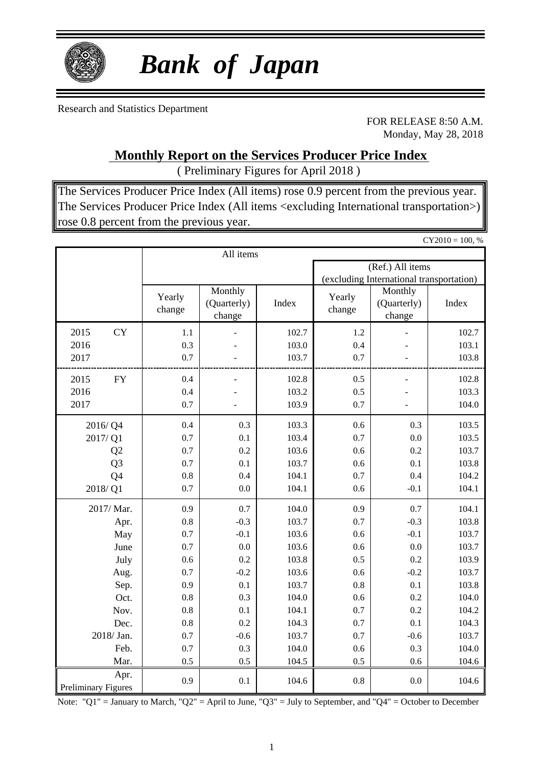

# *Bank of Japan*

Research and Statistics Department

FOR RELEASE 8:50 A.M. Monday, May 28, 2018

 $CY2010 = 100, %$ 

### **Monthly Report on the Services Producer Price Index**

( Preliminary Figures for April 2018 )

The Services Producer Price Index (All items) rose 0.9 percent from the previous year. The Services Producer Price Index (All items <excluding International transportation>) rose 0.8 percent from the previous year.

|                            |           |                  | All items                        |       |                  |                                          |       |  |  |
|----------------------------|-----------|------------------|----------------------------------|-------|------------------|------------------------------------------|-------|--|--|
|                            |           |                  |                                  |       | (Ref.) All items |                                          |       |  |  |
|                            |           |                  |                                  |       |                  | (excluding International transportation) |       |  |  |
|                            |           | Yearly<br>change | Monthly<br>(Quarterly)<br>change | Index | Yearly<br>change | Monthly<br>(Quarterly)<br>change         | Index |  |  |
| 2015                       | <b>CY</b> | 1.1              |                                  | 102.7 | 1.2              |                                          | 102.7 |  |  |
| 2016                       |           | 0.3              |                                  | 103.0 | 0.4              |                                          | 103.1 |  |  |
| 2017                       |           | 0.7              |                                  | 103.7 | 0.7              |                                          | 103.8 |  |  |
| 2015                       | <b>FY</b> | 0.4              |                                  | 102.8 | 0.5              | $\overline{a}$                           | 102.8 |  |  |
| 2016                       |           | 0.4              |                                  | 103.2 | 0.5              |                                          | 103.3 |  |  |
| 2017                       |           | 0.7              |                                  | 103.9 | 0.7              |                                          | 104.0 |  |  |
|                            | 2016/Q4   | 0.4              | 0.3                              | 103.3 | 0.6              | 0.3                                      | 103.5 |  |  |
|                            | 2017/Q1   | 0.7              | 0.1                              | 103.4 | 0.7              | 0.0                                      | 103.5 |  |  |
| Q2                         |           | 0.7              | 0.2                              | 103.6 | 0.6              | 0.2                                      | 103.7 |  |  |
| Q <sub>3</sub>             |           | 0.7              | 0.1                              | 103.7 | 0.6              | 0.1                                      | 103.8 |  |  |
| Q4                         |           | 0.8              | 0.4                              | 104.1 | 0.7              | 0.4                                      | 104.2 |  |  |
|                            | 2018/Q1   | 0.7              | 0.0                              | 104.1 | 0.6              | $-0.1$                                   | 104.1 |  |  |
|                            | 2017/Mar. | 0.9              | 0.7                              | 104.0 | 0.9              | 0.7                                      | 104.1 |  |  |
|                            | Apr.      | 0.8              | $-0.3$                           | 103.7 | 0.7              | $-0.3$                                   | 103.8 |  |  |
|                            | May       | 0.7              | $-0.1$                           | 103.6 | 0.6              | $-0.1$                                   | 103.7 |  |  |
|                            | June      | 0.7              | 0.0                              | 103.6 | 0.6              | 0.0                                      | 103.7 |  |  |
|                            | July      | 0.6              | 0.2                              | 103.8 | 0.5              | 0.2                                      | 103.9 |  |  |
|                            | Aug.      | 0.7              | $-0.2$                           | 103.6 | 0.6              | $-0.2$                                   | 103.7 |  |  |
|                            | Sep.      | 0.9              | 0.1                              | 103.7 | 0.8              | 0.1                                      | 103.8 |  |  |
|                            | Oct.      | 0.8              | 0.3                              | 104.0 | 0.6              | 0.2                                      | 104.0 |  |  |
|                            | Nov.      | 0.8              | 0.1                              | 104.1 | 0.7              | 0.2                                      | 104.2 |  |  |
|                            | Dec.      | 0.8              | 0.2                              | 104.3 | 0.7              | 0.1                                      | 104.3 |  |  |
|                            | 2018/Jan. | 0.7              | $-0.6$                           | 103.7 | 0.7              | $-0.6$                                   | 103.7 |  |  |
|                            | Feb.      | 0.7              | 0.3                              | 104.0 | 0.6              | 0.3                                      | 104.0 |  |  |
|                            | Mar.      | 0.5              | 0.5                              | 104.5 | 0.5              | 0.6                                      | 104.6 |  |  |
| <b>Preliminary Figures</b> | Apr.      | 0.9              | 0.1                              | 104.6 | 0.8              | 0.0                                      | 104.6 |  |  |

Note: "Q1" = January to March, "Q2" = April to June, "Q3" = July to September, and "Q4" = October to December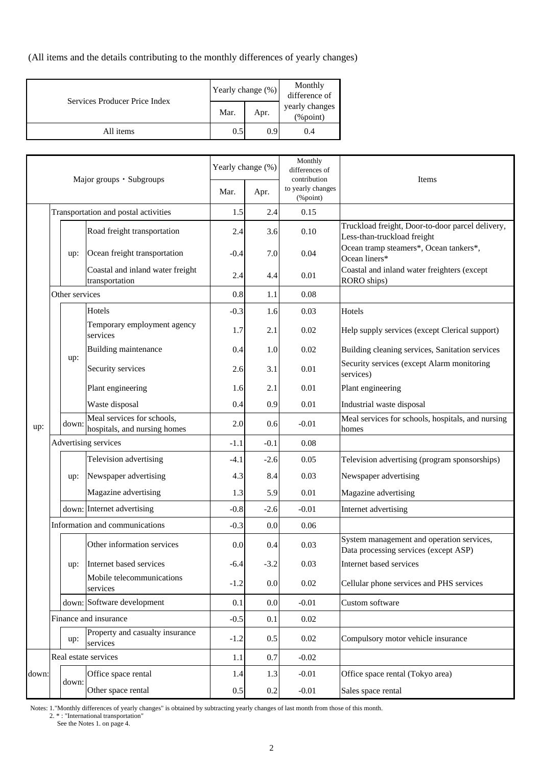(All items and the details contributing to the monthly differences of yearly changes)

| Services Producer Price Index | Yearly change $(\%)$ | Monthly<br>difference of |                            |  |
|-------------------------------|----------------------|--------------------------|----------------------------|--|
|                               | Mar.                 | Apr.                     | yearly changes<br>(%point) |  |
| All items                     | 0.5                  | 0.9                      | 0.4                        |  |

| Major groups · Subgroups |                       | Yearly change (%)    |                                                            | Monthly<br>differences of<br>contribution | Items    |                               |                                                                                    |
|--------------------------|-----------------------|----------------------|------------------------------------------------------------|-------------------------------------------|----------|-------------------------------|------------------------------------------------------------------------------------|
|                          |                       |                      |                                                            | Mar.                                      | Apr.     | to yearly changes<br>(%point) |                                                                                    |
|                          |                       |                      | Transportation and postal activities                       | 1.5                                       | 2.4      | 0.15                          |                                                                                    |
|                          |                       |                      | Road freight transportation                                | 2.4                                       | 3.6      | 0.10                          | Truckload freight, Door-to-door parcel delivery,<br>Less-than-truckload freight    |
|                          |                       | up:                  | Ocean freight transportation                               | $-0.4$                                    | 7.0      | 0.04                          | Ocean tramp steamers*, Ocean tankers*,<br>Ocean liners*                            |
|                          |                       |                      | Coastal and inland water freight<br>transportation         | 2.4                                       | 4.4      | 0.01                          | Coastal and inland water freighters (except<br>RORO ships)                         |
|                          |                       | Other services       |                                                            | 0.8                                       | 1.1      | 0.08                          |                                                                                    |
|                          |                       |                      | Hotels                                                     | $-0.3$                                    | 1.6      | 0.03                          | Hotels                                                                             |
|                          |                       |                      | Temporary employment agency<br>services                    | 1.7                                       | 2.1      | 0.02                          | Help supply services (except Clerical support)                                     |
|                          |                       |                      | Building maintenance                                       | 0.4                                       | 1.0      | 0.02                          | Building cleaning services, Sanitation services                                    |
|                          |                       | up:                  | Security services                                          | 2.6                                       | 3.1      | 0.01                          | Security services (except Alarm monitoring<br>services)                            |
|                          |                       |                      | Plant engineering                                          | 1.6                                       | 2.1      | 0.01                          | Plant engineering                                                                  |
|                          |                       |                      | Waste disposal                                             | 0.4                                       | 0.9      | 0.01                          | Industrial waste disposal                                                          |
| up:                      |                       | down:                | Meal services for schools,<br>hospitals, and nursing homes | 2.0                                       | 0.6      | $-0.01$                       | Meal services for schools, hospitals, and nursing<br>homes                         |
|                          |                       | Advertising services |                                                            |                                           | $-0.1$   | 0.08                          |                                                                                    |
|                          |                       |                      | Television advertising                                     | $-4.1$                                    | $-2.6$   | 0.05                          | Television advertising (program sponsorships)                                      |
|                          |                       | up:                  | Newspaper advertising                                      | 4.3                                       | 8.4      | 0.03                          | Newspaper advertising                                                              |
|                          |                       |                      | Magazine advertising                                       | 1.3                                       | 5.9      | 0.01                          | Magazine advertising                                                               |
|                          |                       |                      | down: Internet advertising                                 | $-0.8$                                    | $-2.6$   | $-0.01$                       | Internet advertising                                                               |
|                          |                       |                      | Information and communications                             | $-0.3$                                    | 0.0      | 0.06                          |                                                                                    |
|                          |                       |                      | Other information services                                 | 0.0                                       | 0.4      | 0.03                          | System management and operation services,<br>Data processing services (except ASP) |
|                          |                       |                      | up:  Internet based services                               | $-6.4$                                    | $-3.2$   | 0.03                          | Internet based services                                                            |
|                          |                       |                      | Mobile telecommunications<br>services                      | $-1.2$                                    | 0.0      | 0.02                          | Cellular phone services and PHS services                                           |
|                          |                       |                      | down: Software development                                 | 0.1                                       | $0.0\,$  | $-0.01$                       | Custom software                                                                    |
|                          | Finance and insurance |                      | $-0.5$                                                     | 0.1                                       | $0.02\,$ |                               |                                                                                    |
|                          |                       | up:                  | Property and casualty insurance<br>services                | $-1.2$                                    | 0.5      | 0.02                          | Compulsory motor vehicle insurance                                                 |
|                          |                       |                      | Real estate services                                       | 1.1                                       | 0.7      | $-0.02$                       |                                                                                    |
| down:                    |                       | down:                | Office space rental                                        | 1.4                                       | 1.3      | $-0.01$                       | Office space rental (Tokyo area)                                                   |
|                          |                       |                      | Other space rental                                         | $0.5\,$                                   | $0.2\,$  | $-0.01$                       | Sales space rental                                                                 |

Notes: 1."Monthly differences of yearly changes" is obtained by subtracting yearly changes of last month from those of this month.

2. \* : "International transportation"

See the Notes 1. on page 4.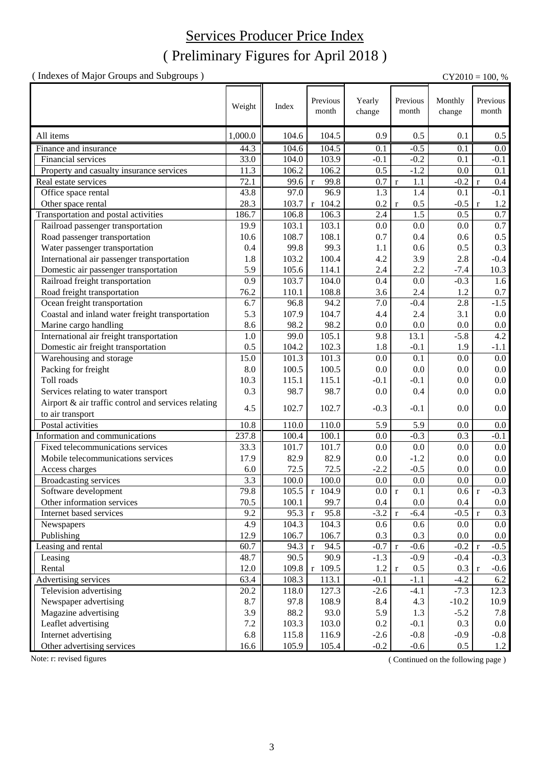### Services Producer Price Index

### ( Preliminary Figures for April 2018 )

( Indexes of Major Groups and Subgroups ) CY2010 = 100, %

| Previous<br>Previous<br>Previous<br>Yearly<br>Monthly<br>Weight<br>Index<br>month<br>month<br>month<br>change<br>change<br>1,000.0<br>All items<br>104.6<br>104.5<br>0.9<br>0.5<br>0.1<br>0.5<br>Finance and insurance<br>104.5<br>44.3<br>104.6<br>0.1<br>$-0.5$<br>0.1<br>0.0<br>33.0<br>103.9<br>$-0.2$<br>Financial services<br>104.0<br>$-0.1$<br>0.1<br>$-0.1$<br>0.5<br>11.3<br>106.2<br>106.2<br>$-1.2$<br>Property and casualty insurance services<br>0.0<br>0.1<br>72.1<br>99.8<br>Real estate services<br>0.7<br>1.1<br>$-0.2$<br>0.4<br>99.6<br>$\mathbf{r}$<br>$\mathbf r$<br>$\mathbf{r}$<br>1.3<br>$-0.1$<br>43.8<br>97.0<br>96.9<br>Office space rental<br>1.4<br>0.1<br>28.3<br>103.7<br>$r$ 104.2<br>0.5<br>$-0.5$<br>Other space rental<br>0.2<br>1.2<br>$\mathbf{r}$<br>$\mathbf{r}$<br>1.5<br>0.7<br>Transportation and postal activities<br>186.7<br>106.8<br>2.4<br>0.5<br>106.3 |
|---------------------------------------------------------------------------------------------------------------------------------------------------------------------------------------------------------------------------------------------------------------------------------------------------------------------------------------------------------------------------------------------------------------------------------------------------------------------------------------------------------------------------------------------------------------------------------------------------------------------------------------------------------------------------------------------------------------------------------------------------------------------------------------------------------------------------------------------------------------------------------------------------------|
|                                                                                                                                                                                                                                                                                                                                                                                                                                                                                                                                                                                                                                                                                                                                                                                                                                                                                                         |
|                                                                                                                                                                                                                                                                                                                                                                                                                                                                                                                                                                                                                                                                                                                                                                                                                                                                                                         |
|                                                                                                                                                                                                                                                                                                                                                                                                                                                                                                                                                                                                                                                                                                                                                                                                                                                                                                         |
|                                                                                                                                                                                                                                                                                                                                                                                                                                                                                                                                                                                                                                                                                                                                                                                                                                                                                                         |
|                                                                                                                                                                                                                                                                                                                                                                                                                                                                                                                                                                                                                                                                                                                                                                                                                                                                                                         |
|                                                                                                                                                                                                                                                                                                                                                                                                                                                                                                                                                                                                                                                                                                                                                                                                                                                                                                         |
|                                                                                                                                                                                                                                                                                                                                                                                                                                                                                                                                                                                                                                                                                                                                                                                                                                                                                                         |
|                                                                                                                                                                                                                                                                                                                                                                                                                                                                                                                                                                                                                                                                                                                                                                                                                                                                                                         |
|                                                                                                                                                                                                                                                                                                                                                                                                                                                                                                                                                                                                                                                                                                                                                                                                                                                                                                         |
| 0.7<br>19.9<br>0.0<br>Railroad passenger transportation<br>103.1<br>103.1<br>0.0<br>0.0                                                                                                                                                                                                                                                                                                                                                                                                                                                                                                                                                                                                                                                                                                                                                                                                                 |
| 0.5<br>108.1<br>0.7<br>Road passenger transportation<br>10.6<br>108.7<br>0.4<br>0.6                                                                                                                                                                                                                                                                                                                                                                                                                                                                                                                                                                                                                                                                                                                                                                                                                     |
| 0.3<br>99.8<br>99.3<br>0.5<br>Water passenger transportation<br>0.4<br>1.1<br>0.6                                                                                                                                                                                                                                                                                                                                                                                                                                                                                                                                                                                                                                                                                                                                                                                                                       |
| International air passenger transportation<br>103.2<br>4.2<br>2.8<br>$-0.4$<br>1.8<br>100.4<br>3.9                                                                                                                                                                                                                                                                                                                                                                                                                                                                                                                                                                                                                                                                                                                                                                                                      |
| Domestic air passenger transportation<br>5.9<br>105.6<br>114.1<br>2.4<br>2.2<br>$-7.4$<br>10.3                                                                                                                                                                                                                                                                                                                                                                                                                                                                                                                                                                                                                                                                                                                                                                                                          |
| Railroad freight transportation<br>0.9<br>103.7<br>104.0<br>$-0.3$<br>1.6<br>0.4<br>0.0                                                                                                                                                                                                                                                                                                                                                                                                                                                                                                                                                                                                                                                                                                                                                                                                                 |
| Road freight transportation<br>76.2<br>108.8<br>110.1<br>3.6<br>2.4<br>1.2<br>0.7                                                                                                                                                                                                                                                                                                                                                                                                                                                                                                                                                                                                                                                                                                                                                                                                                       |
| $-1.5$<br>94.2<br>Ocean freight transportation<br>6.7<br>96.8<br>7.0<br>$-0.4$<br>2.8                                                                                                                                                                                                                                                                                                                                                                                                                                                                                                                                                                                                                                                                                                                                                                                                                   |
| Coastal and inland water freight transportation<br>5.3<br>107.9<br>104.7<br>2.4<br>3.1<br>0.0<br>4.4                                                                                                                                                                                                                                                                                                                                                                                                                                                                                                                                                                                                                                                                                                                                                                                                    |
| Marine cargo handling<br>8.6<br>98.2<br>98.2<br>0.0<br>$0.0\,$<br>0.0<br>0.0                                                                                                                                                                                                                                                                                                                                                                                                                                                                                                                                                                                                                                                                                                                                                                                                                            |
| $\overline{4.2}$<br>International air freight transportation<br>105.1<br>13.1<br>$-5.8$<br>99.0<br>9.8<br>1.0                                                                                                                                                                                                                                                                                                                                                                                                                                                                                                                                                                                                                                                                                                                                                                                           |
| Domestic air freight transportation<br>0.5<br>102.3<br>$-0.1$<br>104.2<br>1.8<br>1.9<br>$-1.1$                                                                                                                                                                                                                                                                                                                                                                                                                                                                                                                                                                                                                                                                                                                                                                                                          |
| Warehousing and storage<br>15.0<br>0.0<br>101.3<br>101.3<br>0.0<br>0.1<br>0.0                                                                                                                                                                                                                                                                                                                                                                                                                                                                                                                                                                                                                                                                                                                                                                                                                           |
| Packing for freight<br>8.0<br>100.5<br>100.5<br>0.0<br>$0.0\,$<br>0.0<br>0.0                                                                                                                                                                                                                                                                                                                                                                                                                                                                                                                                                                                                                                                                                                                                                                                                                            |
| Toll roads<br>0.0<br>10.3<br>115.1<br>$-0.1$<br>115.1<br>$-0.1$<br>0.0                                                                                                                                                                                                                                                                                                                                                                                                                                                                                                                                                                                                                                                                                                                                                                                                                                  |
| 98.7<br>98.7<br>0.0<br>Services relating to water transport<br>0.3<br>0.0<br>0.4<br>0.0                                                                                                                                                                                                                                                                                                                                                                                                                                                                                                                                                                                                                                                                                                                                                                                                                 |
| Airport & air traffic control and services relating                                                                                                                                                                                                                                                                                                                                                                                                                                                                                                                                                                                                                                                                                                                                                                                                                                                     |
| 102.7<br>102.7<br>$-0.1$<br>4.5<br>$-0.3$<br>0.0<br>0.0<br>to air transport                                                                                                                                                                                                                                                                                                                                                                                                                                                                                                                                                                                                                                                                                                                                                                                                                             |
| Postal activities<br>10.8<br>110.0<br>110.0<br>5.9<br>5.9<br>0.0<br>0.0                                                                                                                                                                                                                                                                                                                                                                                                                                                                                                                                                                                                                                                                                                                                                                                                                                 |
| 237.8<br>Information and communications<br>100.4<br>100.1<br>0.0<br>$-0.3$<br>0.3<br>$-0.1$                                                                                                                                                                                                                                                                                                                                                                                                                                                                                                                                                                                                                                                                                                                                                                                                             |
| Fixed telecommunications services<br>33.3<br>101.7<br>101.7<br>0.0<br>0.0<br>0.0<br>0.0                                                                                                                                                                                                                                                                                                                                                                                                                                                                                                                                                                                                                                                                                                                                                                                                                 |
| 17.9<br>82.9<br>82.9<br>$-1.2$<br>$0.0\,$<br>Mobile telecommunications services<br>0.0<br>0.0                                                                                                                                                                                                                                                                                                                                                                                                                                                                                                                                                                                                                                                                                                                                                                                                           |
| 72.5<br>72.5<br>$-2.2$<br>$-0.5$<br>Access charges<br>6.0<br>0.0<br>0.0                                                                                                                                                                                                                                                                                                                                                                                                                                                                                                                                                                                                                                                                                                                                                                                                                                 |
| 3.3<br>100.0<br>100.0<br>0.0<br>0.0<br>0.0<br>0.0<br>Broadcasting services                                                                                                                                                                                                                                                                                                                                                                                                                                                                                                                                                                                                                                                                                                                                                                                                                              |
| 79.8<br>105.5<br>$-0.3$<br>0.0 r<br>$\overline{0.1}$<br>0.6<br>r 104.9<br>Software development                                                                                                                                                                                                                                                                                                                                                                                                                                                                                                                                                                                                                                                                                                                                                                                                          |
| 70.5<br>Other information services<br>100.1<br>99.7<br>0.4<br>0.0<br>0.4<br>$0.0\,$                                                                                                                                                                                                                                                                                                                                                                                                                                                                                                                                                                                                                                                                                                                                                                                                                     |
| Internet based services<br>95.3<br>$-3.2$<br>$-0.5$<br>9.2<br>95.8<br>$-6.4$<br>0.3<br>$\mathbf r$<br>$\mathbf r$<br>$\mathbf{r}$                                                                                                                                                                                                                                                                                                                                                                                                                                                                                                                                                                                                                                                                                                                                                                       |
| 4.9<br>104.3<br>104.3<br>0.6<br>$0.6\,$<br>$0.0\,$<br>Newspapers<br>0.0                                                                                                                                                                                                                                                                                                                                                                                                                                                                                                                                                                                                                                                                                                                                                                                                                                 |
| Publishing<br>12.9<br>106.7<br>106.7<br>0.3<br>0.3<br>0.0<br>$0.0\,$                                                                                                                                                                                                                                                                                                                                                                                                                                                                                                                                                                                                                                                                                                                                                                                                                                    |
| Leasing and rental<br>60.7<br>94.3<br>94.5<br>$-0.7$<br>$-0.6$<br>$-0.2 r$<br>$-0.5$<br>$\mathbf r$<br>$\mathbf r$                                                                                                                                                                                                                                                                                                                                                                                                                                                                                                                                                                                                                                                                                                                                                                                      |
| 48.7<br>90.5<br>90.9<br>$-1.3$<br>$-0.9$<br>$-0.4$<br>$-0.3$<br>Leasing                                                                                                                                                                                                                                                                                                                                                                                                                                                                                                                                                                                                                                                                                                                                                                                                                                 |
| 12.0<br>$r$ 109.5<br>Rental<br>109.8<br>$0.5\,$<br>0.3<br>1.2<br>$-0.6$<br>$\mathbf r$<br>$\mathbf{r}$                                                                                                                                                                                                                                                                                                                                                                                                                                                                                                                                                                                                                                                                                                                                                                                                  |
| Advertising services<br>63.4<br>$-0.1$<br>$-1.1$<br>108.3<br>113.1<br>$-4.2$<br>6.2                                                                                                                                                                                                                                                                                                                                                                                                                                                                                                                                                                                                                                                                                                                                                                                                                     |
| Television advertising<br>$-7.3$<br>20.2<br>118.0<br>127.3<br>$-2.6$<br>$-4.1$<br>12.3                                                                                                                                                                                                                                                                                                                                                                                                                                                                                                                                                                                                                                                                                                                                                                                                                  |
| Newspaper advertising<br>108.9<br>8.7<br>97.8<br>8.4<br>4.3<br>$-10.2$<br>10.9                                                                                                                                                                                                                                                                                                                                                                                                                                                                                                                                                                                                                                                                                                                                                                                                                          |
| Magazine advertising<br>3.9<br>88.2<br>93.0<br>5.9<br>1.3<br>$-5.2$<br>7.8                                                                                                                                                                                                                                                                                                                                                                                                                                                                                                                                                                                                                                                                                                                                                                                                                              |
| $7.2\,$<br>Leaflet advertising<br>103.3<br>0.3<br>103.0<br>0.2<br>$-0.1$<br>$0.0\,$                                                                                                                                                                                                                                                                                                                                                                                                                                                                                                                                                                                                                                                                                                                                                                                                                     |
| 6.8<br>Internet advertising<br>$-0.8$<br>$-0.9$<br>115.8<br>116.9<br>$-2.6$<br>$-0.8$                                                                                                                                                                                                                                                                                                                                                                                                                                                                                                                                                                                                                                                                                                                                                                                                                   |
| Other advertising services<br>16.6<br>105.4<br>$-0.2$<br>$-0.6$<br>$0.5\,$<br>105.9<br>1.2                                                                                                                                                                                                                                                                                                                                                                                                                                                                                                                                                                                                                                                                                                                                                                                                              |

Note: r: revised figures (Continued on the following page)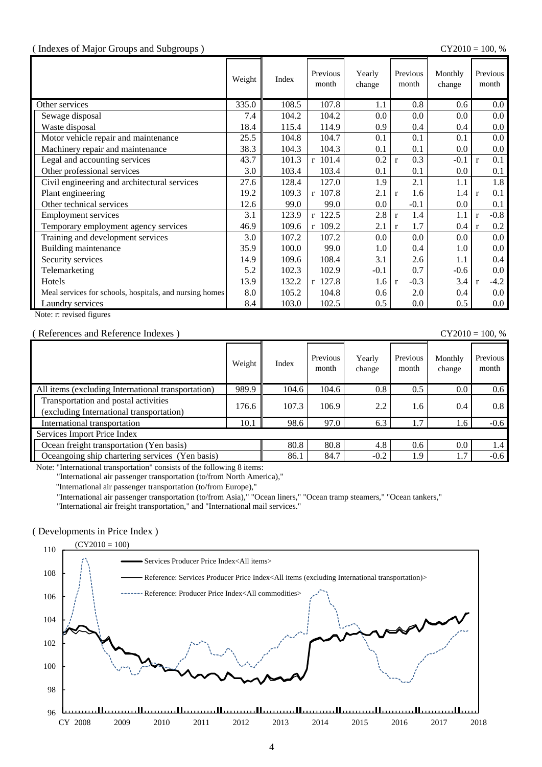#### ( Indexes of Major Groups and Subgroups ) CY2010 = 100, %

|                                                         | Weight | Index | Previous<br>month | Yearly<br>change | Previous<br>month      | Monthly<br>change | Previous<br>month       |
|---------------------------------------------------------|--------|-------|-------------------|------------------|------------------------|-------------------|-------------------------|
| Other services                                          | 335.0  | 108.5 | 107.8             | 1.1              | 0.8                    | 0.6               | $0.0\,$                 |
| Sewage disposal                                         | 7.4    | 104.2 | 104.2             | 0.0              | 0.0                    | 0.0               | $0.0\,$                 |
| Waste disposal                                          | 18.4   | 115.4 | 114.9             | 0.9              | 0.4                    | 0.4               | $0.0\,$                 |
| Motor vehicle repair and maintenance                    | 25.5   | 104.8 | 104.7             | 0.1              | 0.1                    | 0.1               | $0.0\,$                 |
| Machinery repair and maintenance                        | 38.3   | 104.3 | 104.3             | 0.1              | 0.1                    | 0.0               | $0.0\,$                 |
| Legal and accounting services                           | 43.7   | 101.3 | r 101.4           | 0.2              | 0.3<br>$\mathbf{r}$    | $-0.1$            | 0.1<br>$\mathbf{r}$     |
| Other professional services                             | 3.0    | 103.4 | 103.4             | 0.1              | 0.1                    | 0.0               | 0.1                     |
| Civil engineering and architectural services            | 27.6   | 128.4 | 127.0             | 1.9              | 2.1                    | 1.1               | 1.8                     |
| Plant engineering                                       | 19.2   | 109.3 | $r$ 107.8         | 2.1              | 1.6<br>$\mathbf{r}$    | 1.4               | 0.1<br>$\mathbf{r}$     |
| Other technical services                                | 12.6   | 99.0  | 99.0              | 0.0              | $-0.1$                 | $0.0\,$           | 0.1                     |
| <b>Employment services</b>                              | 3.1    | 123.9 | r 122.5           | 2.8              | 1.4<br>$\mathbf{r}$    | 1.1               | $-0.8$<br>$\mathbf{r}$  |
| Temporary employment agency services                    | 46.9   | 109.6 | $r$ 109.2         | 2.1              | 1.7<br>$\mathbf{r}$    | 0.4               | $0.2\,$<br>$\mathbf{r}$ |
| Training and development services                       | 3.0    | 107.2 | 107.2             | 0.0              | 0.0                    | 0.0               | $0.0\,$                 |
| Building maintenance                                    | 35.9   | 100.0 | 99.0              | 1.0              | 0.4                    | 1.0               | $0.0\,$                 |
| Security services                                       | 14.9   | 109.6 | 108.4             | 3.1              | 2.6                    | $1.1\,$           | 0.4                     |
| Telemarketing                                           | 5.2    | 102.3 | 102.9             | $-0.1$           | 0.7                    | -0.6              | $0.0\,$                 |
| Hotels                                                  | 13.9   | 132.2 | $r$ 127.8         | 1.6              | $-0.3$<br>$\mathbf{r}$ | 3.4               | $-4.2$<br>$\mathbf{r}$  |
| Meal services for schools, hospitals, and nursing homes | 8.0    | 105.2 | 104.8             | 0.6              | 2.0                    | 0.4               | $0.0\,$                 |
| Laundry services                                        | 8.4    | 103.0 | 102.5             | 0.5              | 0.0                    | 0.5               | $0.0\,$                 |

Note: r: revised figures

#### ( References and Reference Indexes ) CY2010 = 100, %

|                                                                                  | Weight | Index | Previous<br>month | Yearly<br>change | Previous<br>month | Monthly<br>change | Previous<br>month |
|----------------------------------------------------------------------------------|--------|-------|-------------------|------------------|-------------------|-------------------|-------------------|
| All items (excluding International transportation)                               | 989.9  | 104.6 | 104.6             | 0.8              | 0.5               | 0.0               | 0.6               |
| Transportation and postal activities<br>(excluding International transportation) | 176.6  | 107.3 | 106.9             | 2.2              | 1.6               | 0.4               | 0.8               |
| International transportation                                                     | 10.1   | 98.6  | 97.0              | 6.3              | 1.7               | 1.6               | $-0.6$            |
| Services Import Price Index                                                      |        |       |                   |                  |                   |                   |                   |
| Ocean freight transportation (Yen basis)                                         |        | 80.8  | 80.8              | 4.8              | $0.6^{\circ}$     | 0.0               | 1.4               |
| Oceangoing ship chartering services (Yen basis)                                  |        | 86.1  | 84.7              | $-0.2$           | 1.9               | 1.7               | $-0.6$            |

Note: "International transportation" consists of the following 8 items:

"International air passenger transportation (to/from North America),"

"International air passenger transportation (to/from Europe),"

"International air passenger transportation (to/from Asia)," "Ocean liners," "Ocean tramp steamers," "Ocean tankers,"

"International air freight transportation," and "International mail services."

#### ( Developments in Price Index )